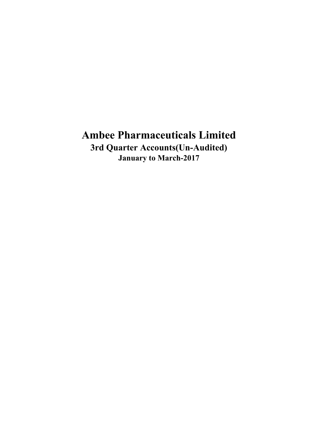**3rd Quarter Accounts(Un-Audited) January to March-2017**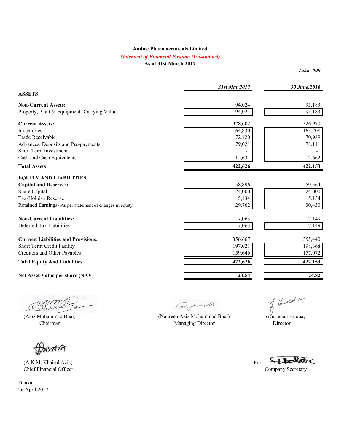#### *Statement of Financial Position (Un-audited)* **As at 31st March 2017**

 *Taka '000* 

|                                                          | 31st Mar 2017 | 30 June.2016 |
|----------------------------------------------------------|---------------|--------------|
| <b>ASSETS</b>                                            |               |              |
| <b>Non-Current Assets:</b>                               | 94,024        | 95,183       |
| Property, Plant & Equipment -Carrying Value              | 94,024        | 95,183       |
| <b>Current Assets:</b>                                   | 328,602       | 326,970      |
| Inventories                                              | 164,830       | 165,208      |
| Trade Receivable                                         | 72,120        | 70,989       |
| Advances, Deposits and Pre-payments                      | 79,021        | 78,111       |
| <b>Short Term Investment</b>                             |               |              |
| Cash and Cash Equivalents                                | 12,631        | 12,662       |
| <b>Total Assets</b>                                      | 422,626       | 422,153      |
| <b>EQUITY AND LIABILITIES</b>                            |               |              |
| <b>Capital and Reserves:</b>                             | 58,896        | 59,564       |
| Share Capital                                            | 24,000        | 24,000       |
| Tax-Holiday Reserve                                      | 5,134         | 5,134        |
| Retained Earnings- As per statement of changes in equity | 29,762        | 30,430       |
| <b>Non-Current Liabilities:</b>                          | 7,063         | 7,149        |
| Deferred Tax Liabilities                                 | 7,063         | 7,149        |
| <b>Current Liabilities and Provisions:</b>               | 356,667       | 355,440      |
| Short Term Credit Facility                               | 197,021       | 198,368      |
| Creditors and Other Payables                             | 159,646       | 157,072      |
| <b>Total Equity And Liabilities</b>                      | 422,626       | 422,153      |
| Net Asset Value per share (NAV)                          | 24.54         | 24.82        |

(ACCO)<br>(Aziz Mohammad Bhai) (Naureen Aziz Mohammad Bhai) (Nurjehan Hudda) AACA

**BASARA** 

(A.K.M. Khairul Aziz) For<br>
Chief Financial Officer

Dhaka 26 April,2017

Qymsh.

Chairman **Managing Director** Director **Director Director** 

Fleder

Company Secretary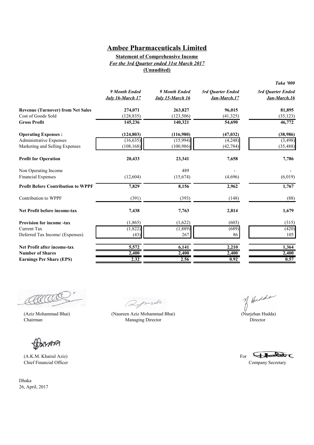### **Statement of Comprehensive Income** *For the 3rd Quarter ended 31st March 2017* **(Unaudited)**

|                                           | 9 Month Ended<br>July 16-March 17 | 9 Month Ended<br>July 15-March 16 | 3rd Quarter Ended<br>Jan-March.17 | 3rd Quarter Ended<br>Jan-March.16 |
|-------------------------------------------|-----------------------------------|-----------------------------------|-----------------------------------|-----------------------------------|
| <b>Revenue (Turnover) from Net Sales</b>  | 274,071                           | 263,827                           | 96,015                            | 81,895                            |
| Cost of Goods Sold                        | (128, 835)                        | (123, 506)                        | (41, 325)                         | (35, 123)                         |
| <b>Gross Profit</b>                       | 145,236                           | 140,321                           | 54,690                            | 46,772                            |
| <b>Operating Expenses:</b>                | (124, 803)                        | (116,980)                         | (47, 032)                         | (38,986)                          |
| <b>Administrative Expenses</b>            | (16, 635)                         | (15,994)                          | (4,248)                           | (3, 498)                          |
| Marketing and Selling Expenses            | (108, 168)                        | (100, 986)                        | (42, 784)                         | (35, 488)                         |
| <b>Profit for Operation</b>               | 20,433                            | 23,341                            | 7,658                             | 7,786                             |
| Non Operating Income                      |                                   | 489                               |                                   |                                   |
| <b>Financial Expenses</b>                 | (12,604)                          | (15,674)                          | (4,696)                           | (6,019)                           |
| <b>Profit Before Contribution to WPPF</b> | 7,829                             | 8,156                             | 2,962                             | 1,767                             |
| Contribution to WPPF                      | (391)                             | (393)                             | (148)                             | (88)                              |
| <b>Net Profit before income-tax</b>       | 7,438                             | 7,763                             | 2,814                             | 1,679                             |
| <b>Provision for income-tax</b>           | (1, 865)                          | (1,622)                           | (603)                             | (315)                             |
| Current Tax                               | (1,822)                           | (1, 889)                          | (689)                             | (420)                             |
| Deferred Tax Income/ (Expenses)           | (43)                              | 267                               | 86                                | 105                               |
| <b>Net Profit after income-tax</b>        | 5,572                             | 6,141                             | 2,210                             | 1,364                             |
| <b>Number of Shares</b>                   | 2,400                             | 2,400                             | 2,400                             | 2,400                             |
| <b>Earnings Per Share (EPS)</b>           | 2.32                              | 2.56                              | 0.92                              | 0.57                              |

(ACCOCC)<br>(Aziz Mohammad Bhai) (Naureen Aziz Mohammad Bhai) (Nurjehan Hudda) CCCC

ANY

(A.K.M. Khairul Aziz) Chief Financial Officer Company Secretary

Dhaka 26, April, 2017

Qymsh.

Chairman Managing Director Director Director

For  $44$ 

*Taka '000*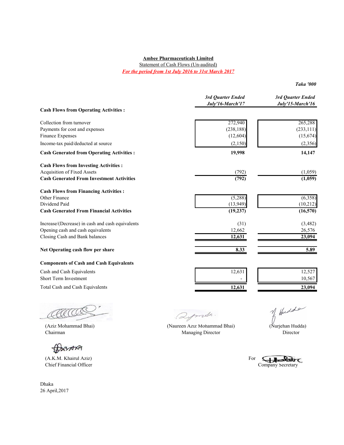Statement of Cash Flows (Un-audited) *For the period from 1st July 2016 to 31st March 2017*

*Taka '000*

|                                                   | 3rd Quarter Ended<br>July'16-March'17 | 3rd Quarter Ended<br>July'15-March'16 |
|---------------------------------------------------|---------------------------------------|---------------------------------------|
| <b>Cash Flows from Operating Activities:</b>      |                                       |                                       |
| Collection from turnover                          | 272,940                               | 265,288                               |
| Payments for cost and expenses                    | (238, 188)                            | (233, 111)                            |
| Finance Expenses                                  | (12,604)                              | (15, 674)                             |
| Income-tax paid/deducted at source                | (2,150)                               | (2,356)                               |
| <b>Cash Generated from Operating Activities :</b> | 19,998                                | 14,147                                |
| <b>Cash Flows from Investing Activities:</b>      |                                       |                                       |
| <b>Acquisition of Fixed Assets</b>                | (792)                                 | (1,059)                               |
| <b>Cash Generated From Investment Activities</b>  | (792)                                 | (1,059)                               |
| <b>Cash Flows from Financing Activities:</b>      |                                       |                                       |
| Other Finance                                     | (5,288)                               | (6,358)                               |
| Dividend Paid                                     | (13, 949)                             | (10,212)                              |
| <b>Cash Generated From Financial Activities</b>   | (19, 237)                             | (16, 570)                             |
| Increase/(Decrease) in cash and cash equivalents  | (31)                                  | (3,482)                               |
| Opening cash and cash equivalents                 | 12,662                                | 26,576                                |
| Closing Cash and Bank balances                    | 12,631                                | 23,094                                |
| Net Operating cash flow per share                 | 8.33                                  | 5.89                                  |
| <b>Components of Cash and Cash Equivalents</b>    |                                       |                                       |
| Cash and Cash Equivalents                         | 12,631                                | 12,527                                |

Short Term Investment 10,567 Total Cash and Cash Equivalents **12,631 12,631 12,631 12,631 12,631 12,631 12,631 12,631 12,631 12,631** 

Chairman Managing Director Director Director Director

BASARA

(A.K.M. Khairul Aziz) For

Dhaka 26 April,2017

Qymsh. (Aziz Mohammad Bhai) (Naureen Aziz Mohammad Bhai) (Nurjehan Hudda)

of Hudde

(A.K.M. Khairul Aziz)<br>
Chief Financial Officer Company Secretary